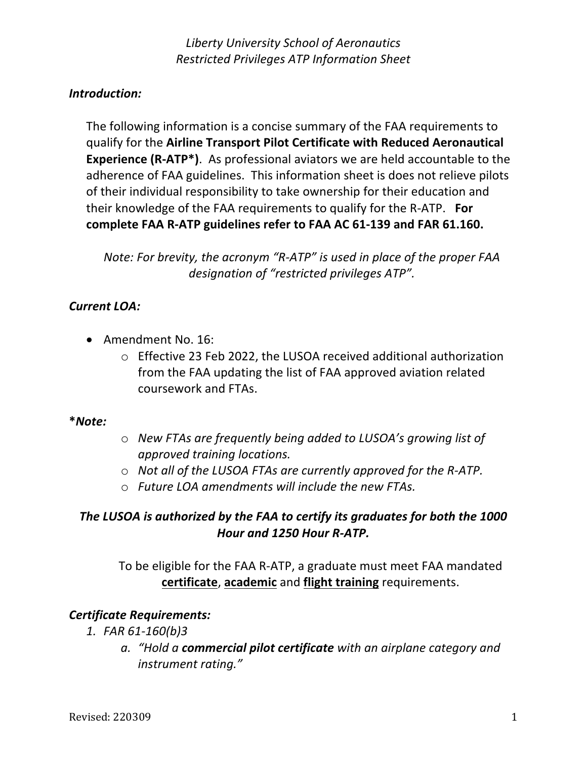### *Introduction:*

The following information is a concise summary of the FAA requirements to qualify for the **Airline Transport Pilot Certificate with Reduced Aeronautical Experience (R-ATP\*)**. As professional aviators we are held accountable to the adherence of FAA guidelines. This information sheet is does not relieve pilots of their individual responsibility to take ownership for their education and their knowledge of the FAA requirements to qualify for the R-ATP. **For complete FAA R-ATP guidelines refer to FAA AC 61-139 and FAR 61.160.**

*Note: For brevity, the acronym "R-ATP" is used in place of the proper FAA designation of "restricted privileges ATP".*

#### *Current LOA:*

- Amendment No. 16:
	- o Effective 23 Feb 2022, the LUSOA received additional authorization from the FAA updating the list of FAA approved aviation related coursework and FTAs.

#### **\****Note:*

- o *New FTAs are frequently being added to LUSOA's growing list of approved training locations.*
- o *Not all of the LUSOA FTAs are currently approved for the R-ATP.*
- o *Future LOA amendments will include the new FTAs.*

## *The LUSOA is authorized by the FAA to certify its graduates for both the 1000 Hour and 1250 Hour R-ATP.*

To be eligible for the FAA R-ATP, a graduate must meet FAA mandated **certificate**, **academic** and **flight training** requirements.

#### *Certificate Requirements:*

- *1. FAR 61-160(b)3*
	- *a. "Hold a commercial pilot certificate with an airplane category and instrument rating."*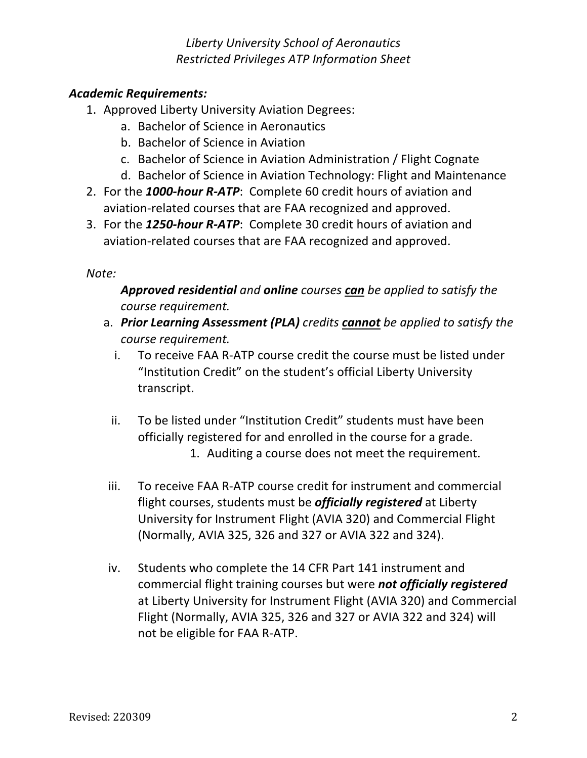#### *Academic Requirements:*

- 1. Approved Liberty University Aviation Degrees:
	- a. Bachelor of Science in Aeronautics
	- b. Bachelor of Science in Aviation
	- c. Bachelor of Science in Aviation Administration / Flight Cognate
	- d. Bachelor of Science in Aviation Technology: Flight and Maintenance
- 2. For the *1000-hour R-ATP*: Complete 60 credit hours of aviation and aviation-related courses that are FAA recognized and approved.
- 3. For the *1250-hour R-ATP*: Complete 30 credit hours of aviation and aviation-related courses that are FAA recognized and approved.

#### *Note:*

## *Approved residential and online courses can be applied to satisfy the course requirement.*

- a. *Prior Learning Assessment (PLA) credits cannot be applied to satisfy the course requirement.*
	- i. To receive FAA R-ATP course credit the course must be listed under "Institution Credit" on the student's official Liberty University transcript.
	- ii. To be listed under "Institution Credit" students must have been officially registered for and enrolled in the course for a grade. 1. Auditing a course does not meet the requirement.
- iii. To receive FAA R-ATP course credit for instrument and commercial flight courses, students must be *officially registered* at Liberty University for Instrument Flight (AVIA 320) and Commercial Flight (Normally, AVIA 325, 326 and 327 or AVIA 322 and 324).
- iv. Students who complete the 14 CFR Part 141 instrument and commercial flight training courses but were *not officially registered* at Liberty University for Instrument Flight (AVIA 320) and Commercial Flight (Normally, AVIA 325, 326 and 327 or AVIA 322 and 324) will not be eligible for FAA R-ATP.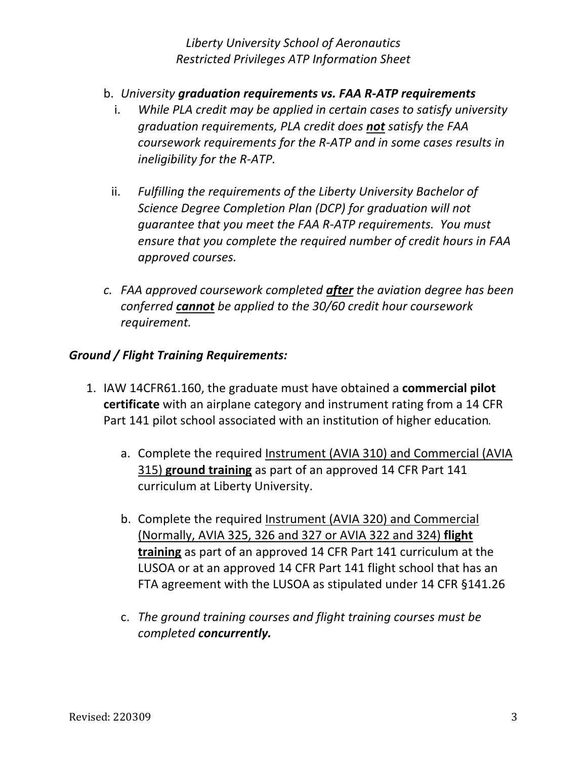- b. *University graduation requirements vs. FAA R-ATP requirements*
	- i. *While PLA credit may be applied in certain cases to satisfy university graduation requirements, PLA credit does not satisfy the FAA coursework requirements for the R-ATP and in some cases results in ineligibility for the R-ATP.*
	- ii. *Fulfilling the requirements of the Liberty University Bachelor of Science Degree Completion Plan (DCP) for graduation will not guarantee that you meet the FAA R-ATP requirements. You must ensure that you complete the required number of credit hours in FAA approved courses.*
- *c. FAA approved coursework completed after the aviation degree has been conferred cannot be applied to the 30/60 credit hour coursework requirement.*

### *Ground / Flight Training Requirements:*

- 1. IAW 14CFR61.160, the graduate must have obtained a **commercial pilot certificate** with an airplane category and instrument rating from a 14 CFR Part 141 pilot school associated with an institution of higher education.
	- a. Complete the required Instrument (AVIA 310) and Commercial (AVIA 315) **ground training** as part of an approved 14 CFR Part 141 curriculum at Liberty University.
	- b. Complete the required Instrument (AVIA 320) and Commercial (Normally, AVIA 325, 326 and 327 or AVIA 322 and 324) **flight training** as part of an approved 14 CFR Part 141 curriculum at the LUSOA or at an approved 14 CFR Part 141 flight school that has an FTA agreement with the LUSOA as stipulated under 14 CFR §141.26
	- c. *The ground training courses and flight training courses must be completed concurrently.*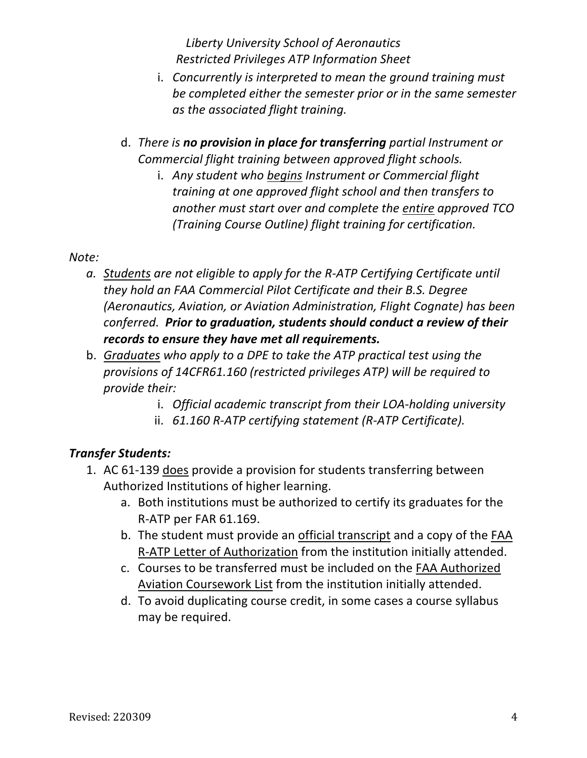- i. *Concurrently is interpreted to mean the ground training must be completed either the semester prior or in the same semester as the associated flight training.*
- d. *There is no provision in place for transferring partial Instrument or Commercial flight training between approved flight schools.*
	- i. *Any student who begins Instrument or Commercial flight training at one approved flight school and then transfers to another must start over and complete the entire approved TCO (Training Course Outline) flight training for certification.*

### *Note:*

- *a. Students are not eligible to apply for the R-ATP Certifying Certificate until they hold an FAA Commercial Pilot Certificate and their B.S. Degree (Aeronautics, Aviation, or Aviation Administration, Flight Cognate) has been conferred. Prior to graduation, students should conduct a review of their records to ensure they have met all requirements.*
- b. *Graduates who apply to a DPE to take the ATP practical test using the provisions of 14CFR61.160 (restricted privileges ATP) will be required to provide their:*
	- i. *Official academic transcript from their LOA-holding university*
	- ii. *61.160 R-ATP certifying statement (R-ATP Certificate).*

## *Transfer Students:*

- 1. AC 61-139 does provide a provision for students transferring between Authorized Institutions of higher learning.
	- a. Both institutions must be authorized to certify its graduates for the R-ATP per FAR 61.169.
	- b. The student must provide an official transcript and a copy of the FAA R-ATP Letter of Authorization from the institution initially attended.
	- c. Courses to be transferred must be included on the FAA Authorized Aviation Coursework List from the institution initially attended.
	- d. To avoid duplicating course credit, in some cases a course syllabus may be required.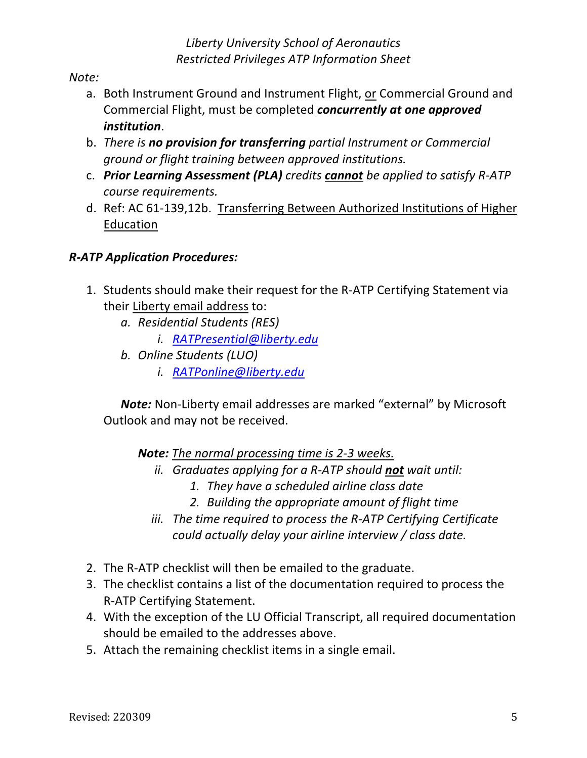### *Note:*

- a. Both Instrument Ground and Instrument Flight, or Commercial Ground and Commercial Flight, must be completed *concurrently at one approved institution*.
- b. *There is no provision for transferring partial Instrument or Commercial ground or flight training between approved institutions.*
- c. *Prior Learning Assessment (PLA) credits cannot be applied to satisfy R-ATP course requirements.*
- d. Ref: AC 61-139,12b. Transferring Between Authorized Institutions of Higher Education

## *R-ATP Application Procedures:*

- 1. Students should make their request for the R-ATP Certifying Statement via their Liberty email address to:
	- *a. Residential Students (RES)*
		- *i. RATPresential@liberty.edu*
	- *b. Online Students (LUO)*
		- *i. RATPonline@liberty.edu*

*Note:* Non-Liberty email addresses are marked "external" by Microsoft Outlook and may not be received.

*Note: The normal processing time is 2-3 weeks.*

- *ii. Graduates applying for a R-ATP should not wait until:*
	- *1. They have a scheduled airline class date*
	- *2. Building the appropriate amount of flight time*
- *iii. The time required to process the R-ATP Certifying Certificate could actually delay your airline interview / class date.*
- 2. The R-ATP checklist will then be emailed to the graduate.
- 3. The checklist contains a list of the documentation required to process the R-ATP Certifying Statement.
- 4. With the exception of the LU Official Transcript, all required documentation should be emailed to the addresses above.
- 5. Attach the remaining checklist items in a single email.